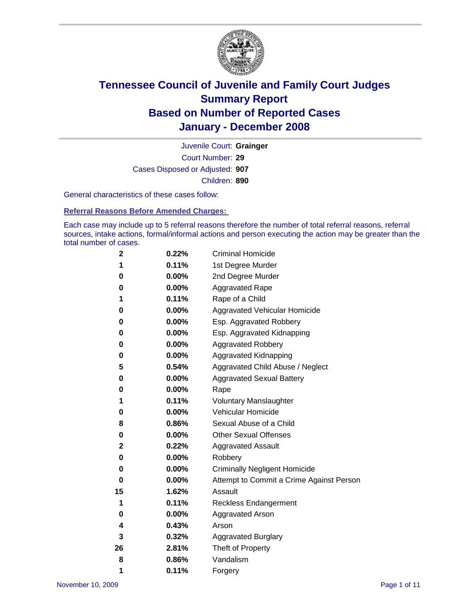

Court Number: **29** Juvenile Court: **Grainger** Cases Disposed or Adjusted: **907** Children: **890**

General characteristics of these cases follow:

**Referral Reasons Before Amended Charges:** 

Each case may include up to 5 referral reasons therefore the number of total referral reasons, referral sources, intake actions, formal/informal actions and person executing the action may be greater than the total number of cases.

| 2  | 0.22%    | <b>Criminal Homicide</b>                 |
|----|----------|------------------------------------------|
| 1  | 0.11%    | 1st Degree Murder                        |
| 0  | $0.00\%$ | 2nd Degree Murder                        |
| 0  | 0.00%    | <b>Aggravated Rape</b>                   |
| 1  | 0.11%    | Rape of a Child                          |
| 0  | $0.00\%$ | Aggravated Vehicular Homicide            |
| 0  | 0.00%    | Esp. Aggravated Robbery                  |
| 0  | $0.00\%$ | Esp. Aggravated Kidnapping               |
| 0  | 0.00%    | <b>Aggravated Robbery</b>                |
| 0  | 0.00%    | Aggravated Kidnapping                    |
| 5  | 0.54%    | Aggravated Child Abuse / Neglect         |
| 0  | 0.00%    | <b>Aggravated Sexual Battery</b>         |
| 0  | 0.00%    | Rape                                     |
| 1  | 0.11%    | <b>Voluntary Manslaughter</b>            |
| 0  | 0.00%    | Vehicular Homicide                       |
| 8  | 0.86%    | Sexual Abuse of a Child                  |
| 0  | 0.00%    | <b>Other Sexual Offenses</b>             |
| 2  | 0.22%    | <b>Aggravated Assault</b>                |
| 0  | 0.00%    | Robbery                                  |
| 0  | 0.00%    | <b>Criminally Negligent Homicide</b>     |
| 0  | 0.00%    | Attempt to Commit a Crime Against Person |
| 15 | 1.62%    | Assault                                  |
| 1  | 0.11%    | <b>Reckless Endangerment</b>             |
| 0  | 0.00%    | <b>Aggravated Arson</b>                  |
| 4  | 0.43%    | Arson                                    |
| 3  | 0.32%    | <b>Aggravated Burglary</b>               |
| 26 | 2.81%    | Theft of Property                        |
| 8  | 0.86%    | Vandalism                                |
| 1  | 0.11%    | Forgery                                  |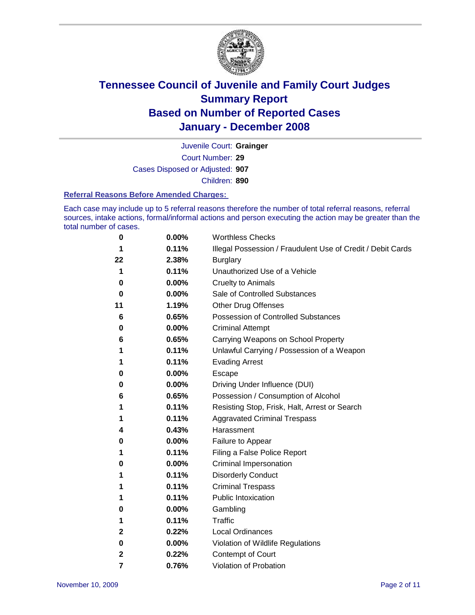

Court Number: **29** Juvenile Court: **Grainger** Cases Disposed or Adjusted: **907** Children: **890**

#### **Referral Reasons Before Amended Charges:**

Each case may include up to 5 referral reasons therefore the number of total referral reasons, referral sources, intake actions, formal/informal actions and person executing the action may be greater than the total number of cases.

| 0  | 0.00%    | <b>Worthless Checks</b>                                     |  |  |  |
|----|----------|-------------------------------------------------------------|--|--|--|
| 1  | 0.11%    | Illegal Possession / Fraudulent Use of Credit / Debit Cards |  |  |  |
| 22 | 2.38%    | <b>Burglary</b>                                             |  |  |  |
| 1  | 0.11%    | Unauthorized Use of a Vehicle                               |  |  |  |
| 0  | 0.00%    | <b>Cruelty to Animals</b>                                   |  |  |  |
| 0  | $0.00\%$ | Sale of Controlled Substances                               |  |  |  |
| 11 | 1.19%    | <b>Other Drug Offenses</b>                                  |  |  |  |
| 6  | 0.65%    | <b>Possession of Controlled Substances</b>                  |  |  |  |
| 0  | 0.00%    | <b>Criminal Attempt</b>                                     |  |  |  |
| 6  | 0.65%    | Carrying Weapons on School Property                         |  |  |  |
| 1  | 0.11%    | Unlawful Carrying / Possession of a Weapon                  |  |  |  |
| 1  | 0.11%    | <b>Evading Arrest</b>                                       |  |  |  |
| 0  | 0.00%    | Escape                                                      |  |  |  |
| 0  | 0.00%    | Driving Under Influence (DUI)                               |  |  |  |
| 6  | 0.65%    | Possession / Consumption of Alcohol                         |  |  |  |
| 1  | 0.11%    | Resisting Stop, Frisk, Halt, Arrest or Search               |  |  |  |
| 1  | 0.11%    | <b>Aggravated Criminal Trespass</b>                         |  |  |  |
| 4  | 0.43%    | Harassment                                                  |  |  |  |
| 0  | 0.00%    | Failure to Appear                                           |  |  |  |
| 1  | 0.11%    | Filing a False Police Report                                |  |  |  |
| 0  | 0.00%    | Criminal Impersonation                                      |  |  |  |
| 1  | 0.11%    | <b>Disorderly Conduct</b>                                   |  |  |  |
| 1  | 0.11%    | <b>Criminal Trespass</b>                                    |  |  |  |
| 1  | 0.11%    | <b>Public Intoxication</b>                                  |  |  |  |
| 0  | 0.00%    | Gambling                                                    |  |  |  |
| 1  | 0.11%    | <b>Traffic</b>                                              |  |  |  |
| 2  | 0.22%    | Local Ordinances                                            |  |  |  |
| 0  | 0.00%    | Violation of Wildlife Regulations                           |  |  |  |
| 2  | 0.22%    | Contempt of Court                                           |  |  |  |
| 7  | 0.76%    | Violation of Probation                                      |  |  |  |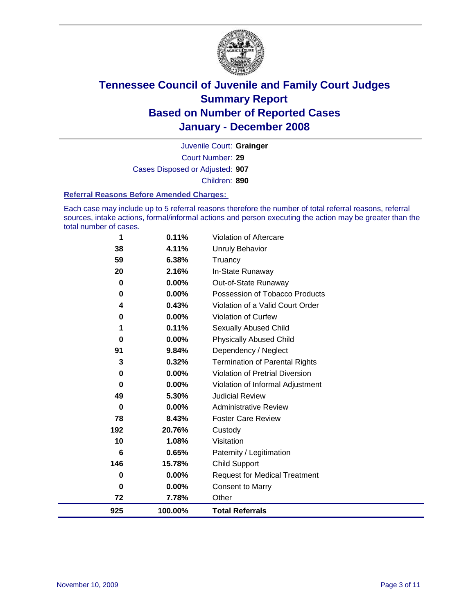

Court Number: **29** Juvenile Court: **Grainger** Cases Disposed or Adjusted: **907** Children: **890**

#### **Referral Reasons Before Amended Charges:**

Each case may include up to 5 referral reasons therefore the number of total referral reasons, referral sources, intake actions, formal/informal actions and person executing the action may be greater than the total number of cases.

| 1        | 0.11%   | Violation of Aftercare                 |
|----------|---------|----------------------------------------|
| 38       | 4.11%   | <b>Unruly Behavior</b>                 |
| 59       | 6.38%   | Truancy                                |
| 20       | 2.16%   | In-State Runaway                       |
| 0        | 0.00%   | Out-of-State Runaway                   |
| $\bf{0}$ | 0.00%   | Possession of Tobacco Products         |
| 4        | 0.43%   | Violation of a Valid Court Order       |
| $\bf{0}$ | 0.00%   | Violation of Curfew                    |
| 1        | 0.11%   | Sexually Abused Child                  |
| 0        | 0.00%   | <b>Physically Abused Child</b>         |
| 91       | 9.84%   | Dependency / Neglect                   |
| 3        | 0.32%   | <b>Termination of Parental Rights</b>  |
| 0        | 0.00%   | <b>Violation of Pretrial Diversion</b> |
| 0        | 0.00%   | Violation of Informal Adjustment       |
| 49       | 5.30%   | <b>Judicial Review</b>                 |
| 0        | 0.00%   | <b>Administrative Review</b>           |
| 78       | 8.43%   | <b>Foster Care Review</b>              |
| 192      | 20.76%  | Custody                                |
| 10       | 1.08%   | Visitation                             |
| 6        | 0.65%   | Paternity / Legitimation               |
| 146      | 15.78%  | <b>Child Support</b>                   |
| 0        | 0.00%   | <b>Request for Medical Treatment</b>   |
| 0        | 0.00%   | <b>Consent to Marry</b>                |
| 72       | 7.78%   | Other                                  |
| 925      | 100.00% | <b>Total Referrals</b>                 |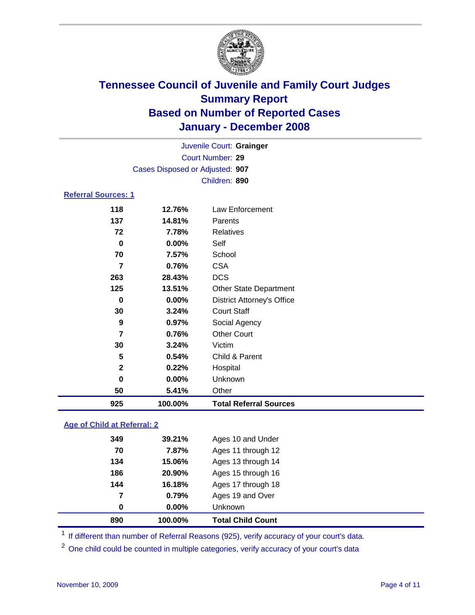

Court Number: **29** Juvenile Court: **Grainger** Cases Disposed or Adjusted: **907** Children: **890**

### **Referral Sources: 1**

| 263<br>125<br>0<br>30<br>9<br>7<br>30<br>5<br>$\mathbf{2}$<br>0<br>50 | 28.43%<br>13.51%<br>0.00%<br>3.24%<br>0.97%<br>0.76%<br>3.24%<br>0.54%<br>0.22%<br>0.00%<br>5.41% | <b>DCS</b><br><b>Other State Department</b><br><b>District Attorney's Office</b><br><b>Court Staff</b><br>Social Agency<br><b>Other Court</b><br>Victim<br>Child & Parent<br>Hospital<br>Unknown<br>Other |
|-----------------------------------------------------------------------|---------------------------------------------------------------------------------------------------|-----------------------------------------------------------------------------------------------------------------------------------------------------------------------------------------------------------|
|                                                                       |                                                                                                   |                                                                                                                                                                                                           |
|                                                                       |                                                                                                   |                                                                                                                                                                                                           |
|                                                                       |                                                                                                   |                                                                                                                                                                                                           |
|                                                                       |                                                                                                   |                                                                                                                                                                                                           |
|                                                                       |                                                                                                   |                                                                                                                                                                                                           |
|                                                                       |                                                                                                   |                                                                                                                                                                                                           |
|                                                                       |                                                                                                   |                                                                                                                                                                                                           |
|                                                                       |                                                                                                   |                                                                                                                                                                                                           |
|                                                                       |                                                                                                   |                                                                                                                                                                                                           |
|                                                                       |                                                                                                   |                                                                                                                                                                                                           |
|                                                                       |                                                                                                   |                                                                                                                                                                                                           |
| 7                                                                     | 0.76%                                                                                             | <b>CSA</b>                                                                                                                                                                                                |
| 70                                                                    | 7.57%                                                                                             | School                                                                                                                                                                                                    |
| 0                                                                     | 0.00%                                                                                             | Self                                                                                                                                                                                                      |
| 72                                                                    | 7.78%                                                                                             | Relatives                                                                                                                                                                                                 |
| 137                                                                   | 14.81%                                                                                            | <b>Parents</b>                                                                                                                                                                                            |
|                                                                       | 12.76%                                                                                            | Law Enforcement                                                                                                                                                                                           |
|                                                                       | 118                                                                                               |                                                                                                                                                                                                           |

### **Age of Child at Referral: 2**

| 890 | 100.00% | <b>Total Child Count</b> |
|-----|---------|--------------------------|
| 0   | 0.00%   | <b>Unknown</b>           |
| 7   | 0.79%   | Ages 19 and Over         |
| 144 | 16.18%  | Ages 17 through 18       |
| 186 | 20.90%  | Ages 15 through 16       |
| 134 | 15.06%  | Ages 13 through 14       |
| 70  | 7.87%   | Ages 11 through 12       |
| 349 | 39.21%  | Ages 10 and Under        |
|     |         |                          |

<sup>1</sup> If different than number of Referral Reasons (925), verify accuracy of your court's data.

<sup>2</sup> One child could be counted in multiple categories, verify accuracy of your court's data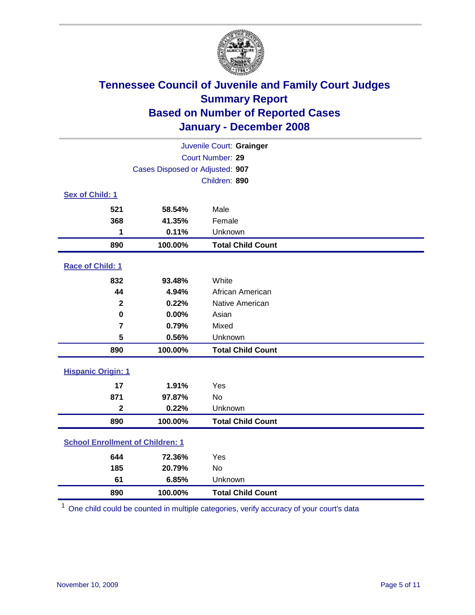

| Juvenile Court: Grainger                |                                 |                          |  |  |  |
|-----------------------------------------|---------------------------------|--------------------------|--|--|--|
| Court Number: 29                        |                                 |                          |  |  |  |
|                                         | Cases Disposed or Adjusted: 907 |                          |  |  |  |
|                                         | Children: 890                   |                          |  |  |  |
| Sex of Child: 1                         |                                 |                          |  |  |  |
| 521                                     | 58.54%                          | Male                     |  |  |  |
| 368                                     | 41.35%                          | Female                   |  |  |  |
| 1                                       | 0.11%                           | Unknown                  |  |  |  |
| 890                                     | 100.00%                         | <b>Total Child Count</b> |  |  |  |
| Race of Child: 1                        |                                 |                          |  |  |  |
| 832                                     | 93.48%                          | White                    |  |  |  |
| 44                                      | 4.94%                           | African American         |  |  |  |
| $\mathbf 2$                             | 0.22%                           | Native American          |  |  |  |
| $\bf{0}$                                | 0.00%                           | Asian                    |  |  |  |
| $\overline{7}$                          | 0.79%                           | Mixed                    |  |  |  |
| 5                                       | 0.56%                           | Unknown                  |  |  |  |
| 890                                     | 100.00%                         | <b>Total Child Count</b> |  |  |  |
| <b>Hispanic Origin: 1</b>               |                                 |                          |  |  |  |
| 17                                      | 1.91%                           | Yes                      |  |  |  |
| 871                                     | 97.87%                          | <b>No</b>                |  |  |  |
| $\overline{\mathbf{2}}$                 | 0.22%                           | Unknown                  |  |  |  |
| 890                                     | 100.00%                         | <b>Total Child Count</b> |  |  |  |
| <b>School Enrollment of Children: 1</b> |                                 |                          |  |  |  |
| 644                                     | 72.36%                          | Yes                      |  |  |  |
| 185                                     | 20.79%                          | No                       |  |  |  |
| 61                                      | 6.85%                           | Unknown                  |  |  |  |
| 890                                     | 100.00%                         | <b>Total Child Count</b> |  |  |  |

One child could be counted in multiple categories, verify accuracy of your court's data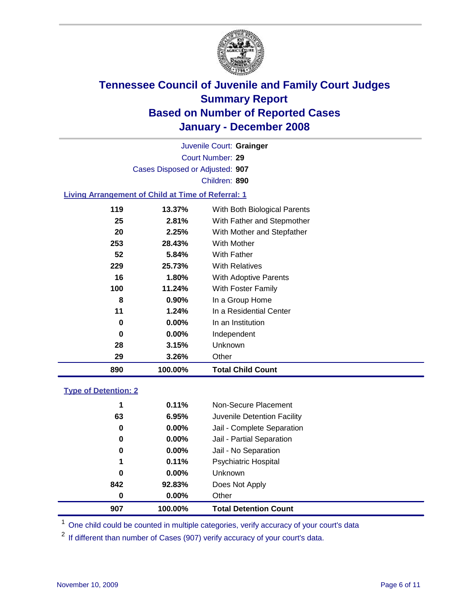

Court Number: **29** Juvenile Court: **Grainger** Cases Disposed or Adjusted: **907** Children: **890**

#### **Living Arrangement of Child at Time of Referral: 1**

| 0<br>0<br>28<br>29 | $1.24\%$<br>$0.00\%$<br>$0.00\%$<br>3.15%<br>3.26% | In a Residential Center<br>In an Institution<br>Independent<br>Unknown<br>Other |  |
|--------------------|----------------------------------------------------|---------------------------------------------------------------------------------|--|
|                    |                                                    |                                                                                 |  |
|                    |                                                    |                                                                                 |  |
|                    |                                                    |                                                                                 |  |
|                    |                                                    |                                                                                 |  |
| 11                 |                                                    |                                                                                 |  |
| 8                  | $0.90\%$                                           | In a Group Home                                                                 |  |
| 100                | 11.24%                                             | With Foster Family                                                              |  |
| 16                 | 1.80%                                              | With Adoptive Parents                                                           |  |
| 229                | 25.73%                                             | <b>With Relatives</b>                                                           |  |
| 52                 | 5.84%                                              | With Father                                                                     |  |
| 253                | 28.43%                                             | <b>With Mother</b>                                                              |  |
| 20                 | 2.25%                                              | With Mother and Stepfather                                                      |  |
| 25                 | 2.81%                                              | With Father and Stepmother                                                      |  |
| 119                | 13.37%                                             | With Both Biological Parents                                                    |  |
|                    |                                                    |                                                                                 |  |

#### **Type of Detention: 2**

| 907 | 100.00%  | <b>Total Detention Count</b> |  |
|-----|----------|------------------------------|--|
| 0   | 0.00%    | Other                        |  |
| 842 | 92.83%   | Does Not Apply               |  |
| 0   | $0.00\%$ | <b>Unknown</b>               |  |
| 1   | 0.11%    | <b>Psychiatric Hospital</b>  |  |
| 0   | $0.00\%$ | Jail - No Separation         |  |
| 0   | $0.00\%$ | Jail - Partial Separation    |  |
| 0   | $0.00\%$ | Jail - Complete Separation   |  |
| 63  | 6.95%    | Juvenile Detention Facility  |  |
| 1   | 0.11%    | Non-Secure Placement         |  |
|     |          |                              |  |

<sup>1</sup> One child could be counted in multiple categories, verify accuracy of your court's data

<sup>2</sup> If different than number of Cases (907) verify accuracy of your court's data.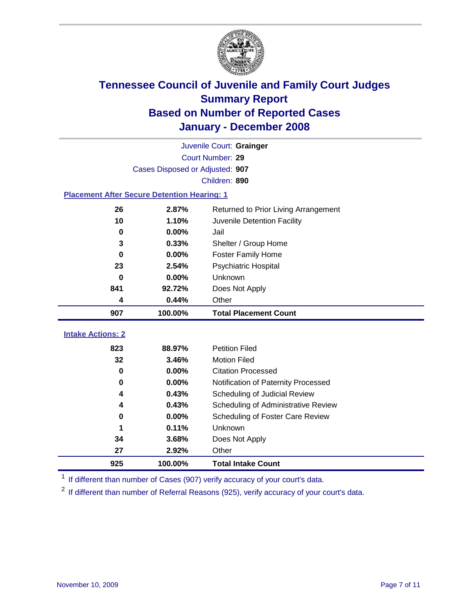

|                                                    | Juvenile Court: Grainger        |                                      |  |  |  |
|----------------------------------------------------|---------------------------------|--------------------------------------|--|--|--|
|                                                    | Court Number: 29                |                                      |  |  |  |
|                                                    | Cases Disposed or Adjusted: 907 |                                      |  |  |  |
| Children: 890                                      |                                 |                                      |  |  |  |
| <b>Placement After Secure Detention Hearing: 1</b> |                                 |                                      |  |  |  |
| 26                                                 | 2.87%                           | Returned to Prior Living Arrangement |  |  |  |
| 10                                                 | 1.10%                           | Juvenile Detention Facility          |  |  |  |
| $\bf{0}$                                           | 0.00%                           | Jail                                 |  |  |  |
| 3                                                  | 0.33%                           | Shelter / Group Home                 |  |  |  |
| $\mathbf 0$                                        | 0.00%                           | <b>Foster Family Home</b>            |  |  |  |
| 23                                                 | 2.54%                           | Psychiatric Hospital                 |  |  |  |
| 0                                                  | 0.00%                           | Unknown                              |  |  |  |
| 841                                                | 92.72%                          | Does Not Apply                       |  |  |  |
| 4                                                  | 0.44%                           | Other                                |  |  |  |
| 907                                                | 100.00%                         | <b>Total Placement Count</b>         |  |  |  |
|                                                    |                                 |                                      |  |  |  |
|                                                    |                                 |                                      |  |  |  |
| <b>Intake Actions: 2</b><br>823                    | 88.97%                          | <b>Petition Filed</b>                |  |  |  |
| 32                                                 | 3.46%                           | <b>Motion Filed</b>                  |  |  |  |
| $\mathbf 0$                                        | 0.00%                           | <b>Citation Processed</b>            |  |  |  |
| $\bf{0}$                                           | 0.00%                           | Notification of Paternity Processed  |  |  |  |
| 4                                                  | 0.43%                           | Scheduling of Judicial Review        |  |  |  |
| 4                                                  | 0.43%                           | Scheduling of Administrative Review  |  |  |  |
| $\bf{0}$                                           | 0.00%                           | Scheduling of Foster Care Review     |  |  |  |
| 1                                                  | 0.11%                           | Unknown                              |  |  |  |
| 34                                                 | 3.68%                           | Does Not Apply                       |  |  |  |
| 27                                                 | 2.92%                           | Other                                |  |  |  |

<sup>1</sup> If different than number of Cases (907) verify accuracy of your court's data.

<sup>2</sup> If different than number of Referral Reasons (925), verify accuracy of your court's data.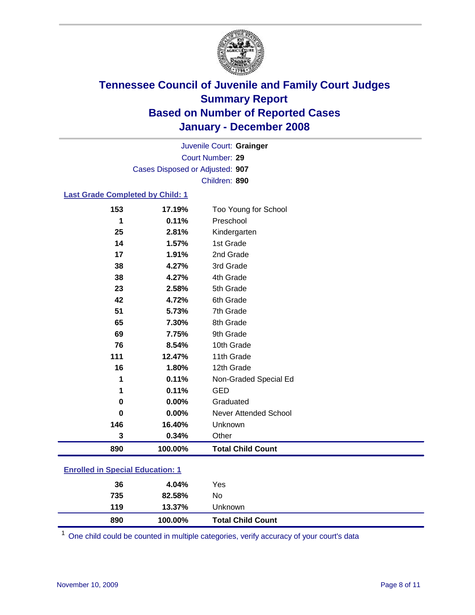

Court Number: **29** Juvenile Court: **Grainger** Cases Disposed or Adjusted: **907** Children: **890**

### **Last Grade Completed by Child: 1**

| 890      | 100.00% | <b>Total Child Count</b> |
|----------|---------|--------------------------|
| 3        | 0.34%   | Other                    |
| 146      | 16.40%  | Unknown                  |
| $\bf{0}$ | 0.00%   | Never Attended School    |
| 0        | 0.00%   | Graduated                |
| 1        | 0.11%   | <b>GED</b>               |
| 1        | 0.11%   | Non-Graded Special Ed    |
| 16       | 1.80%   | 12th Grade               |
| 111      | 12.47%  | 11th Grade               |
| 76       | 8.54%   | 10th Grade               |
| 69       | 7.75%   | 9th Grade                |
| 65       | 7.30%   | 8th Grade                |
| 51       | 5.73%   | 7th Grade                |
| 42       | 4.72%   | 6th Grade                |
| 23       | 2.58%   | 5th Grade                |
| 38       | 4.27%   | 4th Grade                |
| 38       | 4.27%   | 3rd Grade                |
| 17       | 1.91%   | 2nd Grade                |
| 14       | 1.57%   | 1st Grade                |
| 25       | 2.81%   | Kindergarten             |
| 1        | 0.11%   | Preschool                |
| 153      | 17.19%  | Too Young for School     |

### **Enrolled in Special Education: 1**

| 890<br>100.00%      | <b>Total Child Count</b> |
|---------------------|--------------------------|
| 119<br>13.37%       | Unknown                  |
| 735<br>No<br>82.58% |                          |
| 36<br>4.04%         | Yes                      |

One child could be counted in multiple categories, verify accuracy of your court's data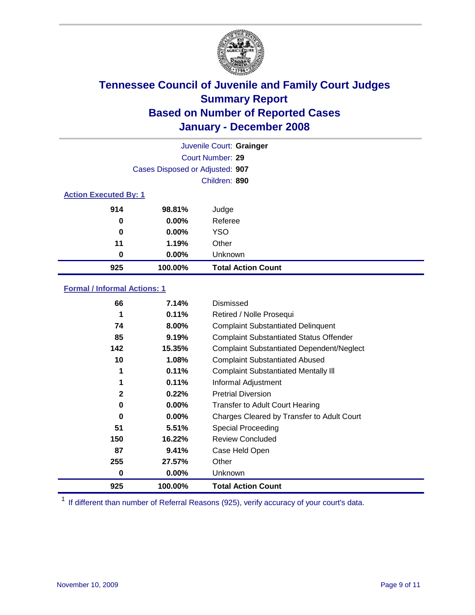

| Juvenile Court: Grainger     |                                 |                           |  |  |  |
|------------------------------|---------------------------------|---------------------------|--|--|--|
|                              | Court Number: 29                |                           |  |  |  |
|                              | Cases Disposed or Adjusted: 907 |                           |  |  |  |
|                              | Children: 890                   |                           |  |  |  |
| <b>Action Executed By: 1</b> |                                 |                           |  |  |  |
| 914                          | 98.81%                          | Judge                     |  |  |  |
| 0                            | $0.00\%$                        | Referee                   |  |  |  |
| 0                            | $0.00\%$                        | <b>YSO</b>                |  |  |  |
| 11                           | 1.19%                           | Other                     |  |  |  |
| 0                            | $0.00\%$                        | Unknown                   |  |  |  |
| 925                          | 100.00%                         | <b>Total Action Count</b> |  |  |  |

### **Formal / Informal Actions: 1**

| 66           | 7.14%    | Dismissed                                        |
|--------------|----------|--------------------------------------------------|
| 1            | 0.11%    | Retired / Nolle Prosequi                         |
| 74           | 8.00%    | <b>Complaint Substantiated Delinquent</b>        |
| 85           | 9.19%    | <b>Complaint Substantiated Status Offender</b>   |
| 142          | 15.35%   | <b>Complaint Substantiated Dependent/Neglect</b> |
| 10           | 1.08%    | <b>Complaint Substantiated Abused</b>            |
| 1            | 0.11%    | <b>Complaint Substantiated Mentally III</b>      |
| 1            | 0.11%    | Informal Adjustment                              |
| $\mathbf{2}$ | 0.22%    | <b>Pretrial Diversion</b>                        |
| 0            | $0.00\%$ | <b>Transfer to Adult Court Hearing</b>           |
| 0            | 0.00%    | Charges Cleared by Transfer to Adult Court       |
| 51           | 5.51%    | Special Proceeding                               |
| 150          | 16.22%   | <b>Review Concluded</b>                          |
| 87           | 9.41%    | Case Held Open                                   |
| 255          | 27.57%   | Other                                            |
| 0            | $0.00\%$ | Unknown                                          |
| 925          | 100.00%  | <b>Total Action Count</b>                        |

<sup>1</sup> If different than number of Referral Reasons (925), verify accuracy of your court's data.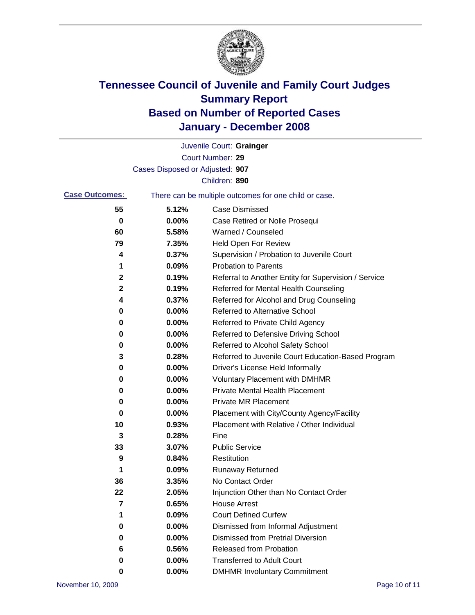

|                         |                                 | Juvenile Court: Grainger                              |
|-------------------------|---------------------------------|-------------------------------------------------------|
|                         |                                 | Court Number: 29                                      |
|                         | Cases Disposed or Adjusted: 907 |                                                       |
|                         |                                 | Children: 890                                         |
| <b>Case Outcomes:</b>   |                                 | There can be multiple outcomes for one child or case. |
| 55                      | 5.12%                           | <b>Case Dismissed</b>                                 |
| 0                       | 0.00%                           | Case Retired or Nolle Prosequi                        |
| 60                      | 5.58%                           | Warned / Counseled                                    |
| 79                      | 7.35%                           | Held Open For Review                                  |
| 4                       | 0.37%                           | Supervision / Probation to Juvenile Court             |
| 1                       | 0.09%                           | <b>Probation to Parents</b>                           |
| 2                       | 0.19%                           | Referral to Another Entity for Supervision / Service  |
| 2                       | 0.19%                           | Referred for Mental Health Counseling                 |
| 4                       | 0.37%                           | Referred for Alcohol and Drug Counseling              |
| 0                       | 0.00%                           | <b>Referred to Alternative School</b>                 |
| 0                       | 0.00%                           | Referred to Private Child Agency                      |
| 0                       | 0.00%                           | Referred to Defensive Driving School                  |
| 0                       | 0.00%                           | Referred to Alcohol Safety School                     |
| 3                       | 0.28%                           | Referred to Juvenile Court Education-Based Program    |
| 0                       | 0.00%                           | Driver's License Held Informally                      |
| 0                       | 0.00%                           | <b>Voluntary Placement with DMHMR</b>                 |
| 0                       | 0.00%                           | <b>Private Mental Health Placement</b>                |
| 0                       | 0.00%                           | <b>Private MR Placement</b>                           |
| 0                       | 0.00%                           | Placement with City/County Agency/Facility            |
| 10                      | 0.93%                           | Placement with Relative / Other Individual            |
| 3                       | 0.28%                           | Fine                                                  |
| 33                      | 3.07%                           | <b>Public Service</b>                                 |
| 9                       | 0.84%                           | Restitution                                           |
| 1                       | 0.09%                           | <b>Runaway Returned</b>                               |
| 36                      | 3.35%                           | No Contact Order                                      |
| 22                      | 2.05%                           | Injunction Other than No Contact Order                |
| $\overline{\mathbf{7}}$ | 0.65%                           | <b>House Arrest</b>                                   |
| 1                       | 0.09%                           | <b>Court Defined Curfew</b>                           |
| 0                       | 0.00%                           | Dismissed from Informal Adjustment                    |
| 0                       | 0.00%                           | <b>Dismissed from Pretrial Diversion</b>              |
| 6                       | 0.56%                           | <b>Released from Probation</b>                        |
| 0                       | 0.00%                           | <b>Transferred to Adult Court</b>                     |
| 0                       | 0.00%                           | <b>DMHMR Involuntary Commitment</b>                   |